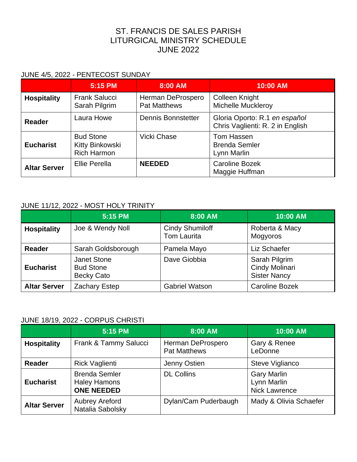# ST. FRANCIS DE SALES PARISH LITURGICAL MINISTRY SCHEDULE JUNE 2022

#### JUNE 4/5, 2022 - PENTECOST SUNDAY

|                     | 5:15 PM                                                   | 8:00 AM                                  | 10:00 AM                                                          |
|---------------------|-----------------------------------------------------------|------------------------------------------|-------------------------------------------------------------------|
| <b>Hospitality</b>  | <b>Frank Salucci</b><br>Sarah Pilgrim                     | Herman DeProspero<br><b>Pat Matthews</b> | <b>Colleen Knight</b><br><b>Michelle Muckleroy</b>                |
| <b>Reader</b>       | Laura Howe                                                | <b>Dennis Bonnstetter</b>                | Gloria Oporto: R.1 en español<br>Chris Vaglienti: R. 2 in English |
| <b>Eucharist</b>    | <b>Bud Stone</b><br>Kitty Binkowski<br><b>Rich Harmon</b> | Vicki Chase                              | Tom Hassen<br><b>Brenda Semler</b><br>Lynn Marlin                 |
| <b>Altar Server</b> | Ellie Perella                                             | <b>NEEDED</b>                            | <b>Caroline Bozek</b><br>Maggie Huffman                           |

#### JUNE 11/12, 2022 - MOST HOLY TRINITY

|                     | 5:15 PM                                                     | 8:00 AM                                      | 10:00 AM                                               |
|---------------------|-------------------------------------------------------------|----------------------------------------------|--------------------------------------------------------|
| <b>Hospitality</b>  | Joe & Wendy Noll                                            | <b>Cindy Shumiloff</b><br><b>Tom Laurita</b> | Roberta & Macy<br>Mogyoros                             |
| Reader              | Sarah Goldsborough                                          | Pamela Mayo                                  | Liz Schaefer                                           |
| <b>Eucharist</b>    | <b>Janet Stone</b><br><b>Bud Stone</b><br><b>Becky Cato</b> | Dave Giobbia                                 | Sarah Pilgrim<br>Cindy Molinari<br><b>Sister Nancy</b> |
| <b>Altar Server</b> | <b>Zachary Estep</b>                                        | <b>Gabriel Watson</b>                        | <b>Caroline Bozek</b>                                  |

### JUNE 18/19, 2022 - CORPUS CHRISTI

|                     | 5:15 PM                                                          | 8:00 AM                                  | 10:00 AM                                                  |
|---------------------|------------------------------------------------------------------|------------------------------------------|-----------------------------------------------------------|
| <b>Hospitality</b>  | Frank & Tammy Salucci                                            | Herman DeProspero<br><b>Pat Matthews</b> | Gary & Renee<br>LeDonne                                   |
| <b>Reader</b>       | <b>Rick Vaglienti</b>                                            | Jenny Ostien                             | Steve Viglianco                                           |
| <b>Eucharist</b>    | <b>Brenda Semler</b><br><b>Haley Hamons</b><br><b>ONE NEEDED</b> | <b>DL Collins</b>                        | <b>Gary Marlin</b><br>Lynn Marlin<br><b>Nick Lawrence</b> |
| <b>Altar Server</b> | <b>Aubrey Areford</b><br>Natalia Sabolsky                        | Dylan/Cam Puderbaugh                     | Mady & Olivia Schaefer                                    |